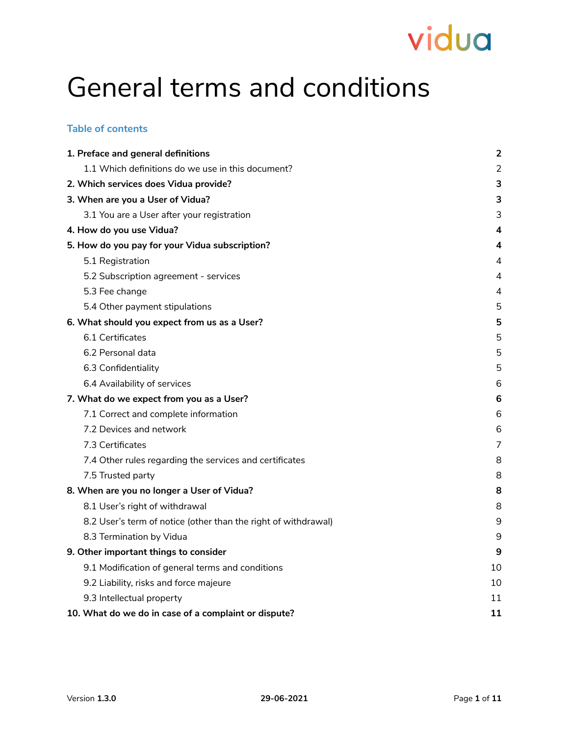## General terms and conditions

#### **Table of contents**

| 1. Preface and general definitions                             | $\overline{2}$ |
|----------------------------------------------------------------|----------------|
| 1.1 Which definitions do we use in this document?              | $\overline{2}$ |
| 2. Which services does Vidua provide?                          | 3              |
| 3. When are you a User of Vidua?                               | 3              |
| 3.1 You are a User after your registration                     | 3              |
| 4. How do you use Vidua?                                       | 4              |
| 5. How do you pay for your Vidua subscription?                 | 4              |
| 5.1 Registration                                               | 4              |
| 5.2 Subscription agreement - services                          | 4              |
| 5.3 Fee change                                                 | 4              |
| 5.4 Other payment stipulations                                 | 5              |
| 6. What should you expect from us as a User?                   | 5              |
| 6.1 Certificates                                               | 5              |
| 6.2 Personal data                                              | 5              |
| 6.3 Confidentiality                                            | 5              |
| 6.4 Availability of services                                   | 6              |
| 7. What do we expect from you as a User?                       | 6              |
| 7.1 Correct and complete information                           | 6              |
| 7.2 Devices and network                                        | 6              |
| 7.3 Certificates                                               | 7              |
| 7.4 Other rules regarding the services and certificates        | 8              |
| 7.5 Trusted party                                              | 8              |
| 8. When are you no longer a User of Vidua?                     | 8              |
| 8.1 User's right of withdrawal                                 | 8              |
| 8.2 User's term of notice (other than the right of withdrawal) | 9              |
| 8.3 Termination by Vidua                                       | 9              |
| 9. Other important things to consider                          | 9              |
| 9.1 Modification of general terms and conditions               | 10             |
| 9.2 Liability, risks and force majeure                         | 10             |
| 9.3 Intellectual property                                      | 11             |
| 10. What do we do in case of a complaint or dispute?           | 11             |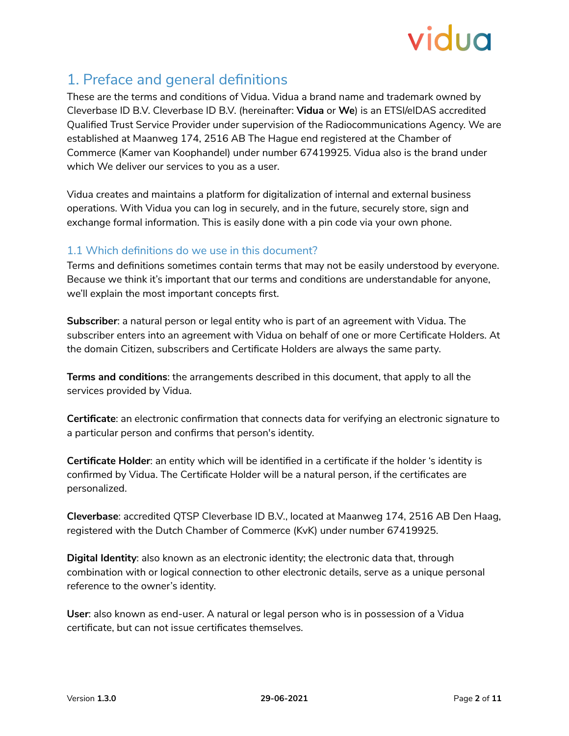

## <span id="page-1-0"></span>1. Preface and general definitions

These are the terms and conditions of Vidua. Vidua a brand name and trademark owned by Cleverbase ID B.V. Cleverbase ID B.V. (hereinafter: **Vidua** or **We**) is an ETSI/eIDAS accredited Qualified Trust Service Provider under supervision of the Radiocommunications Agency. We are established at Maanweg 174, 2516 AB The Hague end registered at the Chamber of Commerce (Kamer van Koophandel) under number 67419925. Vidua also is the brand under which We deliver our services to you as a user.

Vidua creates and maintains a platform for digitalization of internal and external business operations. With Vidua you can log in securely, and in the future, securely store, sign and exchange formal information. This is easily done with a pin code via your own phone.

## <span id="page-1-1"></span>1.1 Which definitions do we use in this document?

Terms and definitions sometimes contain terms that may not be easily understood by everyone. Because we think it's important that our terms and conditions are understandable for anyone, we'll explain the most important concepts first.

**Subscriber**: a natural person or legal entity who is part of an agreement with Vidua. The subscriber enters into an agreement with Vidua on behalf of one or more Certificate Holders. At the domain Citizen, subscribers and Certificate Holders are always the same party.

**Terms and conditions**: the arrangements described in this document, that apply to all the services provided by Vidua.

**Certificate**: an electronic confirmation that connects data for verifying an electronic signature to a particular person and confirms that person's identity.

**Certificate Holder**: an entity which will be identified in a certificate if the holder 's identity is confirmed by Vidua. The Certificate Holder will be a natural person, if the certificates are personalized.

**Cleverbase**: accredited QTSP Cleverbase ID B.V., located at Maanweg 174, 2516 AB Den Haag, registered with the Dutch Chamber of Commerce (KvK) under number 67419925.

**Digital Identity**: also known as an electronic identity; the electronic data that, through combination with or logical connection to other electronic details, serve as a unique personal reference to the owner's identity.

**User**: also known as end-user. A natural or legal person who is in possession of a Vidua certificate, but can not issue certificates themselves.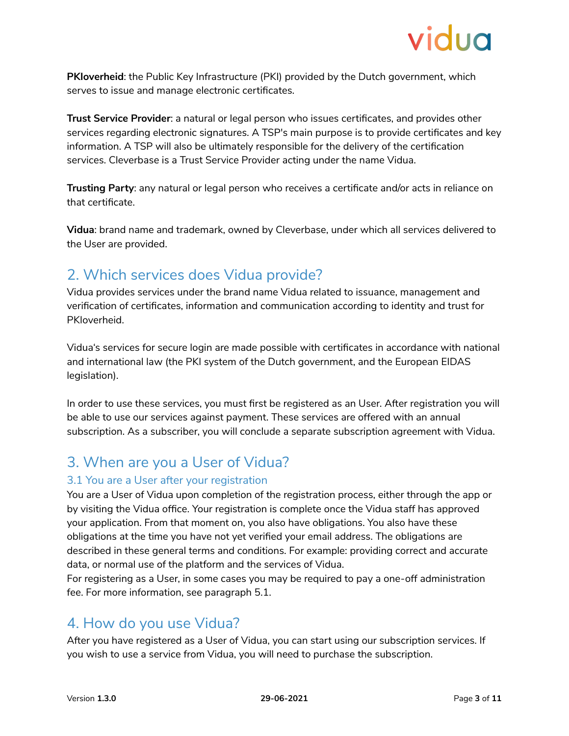

**PKIoverheid**: the Public Key Infrastructure (PKI) provided by the Dutch government, which serves to issue and manage electronic certificates.

**Trust Service Provider**: a natural or legal person who issues certificates, and provides other services regarding electronic signatures. A TSP's main purpose is to provide certificates and key information. A TSP will also be ultimately responsible for the delivery of the certification services. Cleverbase is a Trust Service Provider acting under the name Vidua.

**Trusting Party**: any natural or legal person who receives a certificate and/or acts in reliance on that certificate.

**Vidua**: brand name and trademark, owned by Cleverbase, under which all services delivered to the User are provided.

## <span id="page-2-0"></span>2. Which services does Vidua provide?

Vidua provides services under the brand name Vidua related to issuance, management and verification of certificates, information and communication according to identity and trust for PKIoverheid.

Vidua's services for secure login are made possible with certificates in accordance with national and international law (the PKI system of the Dutch government, and the European EIDAS legislation).

In order to use these services, you must first be registered as an User. After registration you will be able to use our services against payment. These services are offered with an annual subscription. As a subscriber, you will conclude a separate subscription agreement with Vidua.

## <span id="page-2-1"></span>3. When are you a User of Vidua?

## <span id="page-2-2"></span>3.1 You are a User after your registration

You are a User of Vidua upon completion of the registration process, either through the app or by visiting the Vidua office. Your registration is complete once the Vidua staff has approved your application. From that moment on, you also have obligations. You also have these obligations at the time you have not yet verified your email address. The obligations are described in these general terms and conditions. For example: providing correct and accurate data, or normal use of the platform and the services of Vidua.

For registering as a User, in some cases you may be required to pay a one-off administration fee. For more information, see paragraph 5.1.

## <span id="page-2-3"></span>4. How do you use Vidua?

After you have registered as a User of Vidua, you can start using our subscription services. If you wish to use a service from Vidua, you will need to purchase the subscription.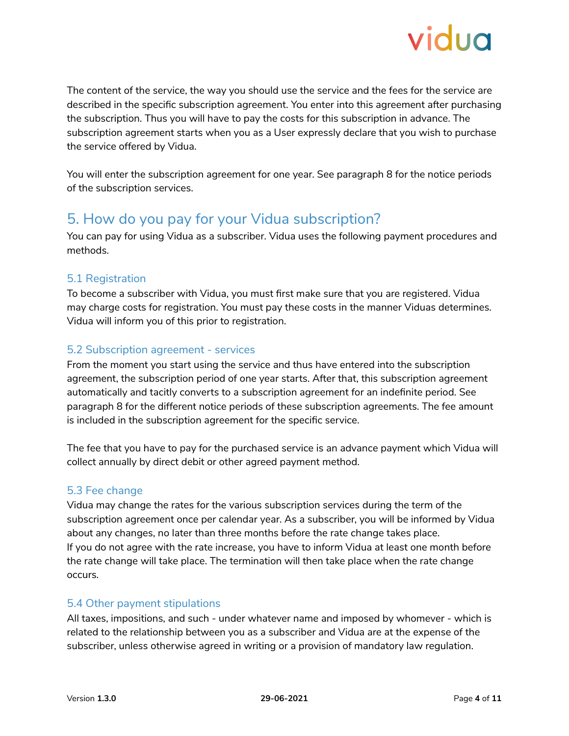

The content of the service, the way you should use the service and the fees for the service are described in the specific subscription agreement. You enter into this agreement after purchasing the subscription. Thus you will have to pay the costs for this subscription in advance. The subscription agreement starts when you as a User expressly declare that you wish to purchase the service offered by Vidua.

You will enter the subscription agreement for one year. See paragraph 8 for the notice periods of the subscription services.

## <span id="page-3-0"></span>5. How do you pay for your Vidua subscription?

You can pay for using Vidua as a subscriber. Vidua uses the following payment procedures and methods.

## <span id="page-3-1"></span>5.1 Registration

To become a subscriber with Vidua, you must first make sure that you are registered. Vidua may charge costs for registration. You must pay these costs in the manner Viduas determines. Vidua will inform you of this prior to registration.

#### <span id="page-3-2"></span>5.2 Subscription agreement - services

From the moment you start using the service and thus have entered into the subscription agreement, the subscription period of one year starts. After that, this subscription agreement automatically and tacitly converts to a subscription agreement for an indefinite period. See paragraph 8 for the different notice periods of these subscription agreements. The fee amount is included in the subscription agreement for the specific service.

The fee that you have to pay for the purchased service is an advance payment which Vidua will collect annually by direct debit or other agreed payment method.

#### <span id="page-3-3"></span>5.3 Fee change

Vidua may change the rates for the various subscription services during the term of the subscription agreement once per calendar year. As a subscriber, you will be informed by Vidua about any changes, no later than three months before the rate change takes place. If you do not agree with the rate increase, you have to inform Vidua at least one month before the rate change will take place. The termination will then take place when the rate change occurs.

#### <span id="page-3-4"></span>5.4 Other payment stipulations

All taxes, impositions, and such - under whatever name and imposed by whomever - which is related to the relationship between you as a subscriber and Vidua are at the expense of the subscriber, unless otherwise agreed in writing or a provision of mandatory law regulation.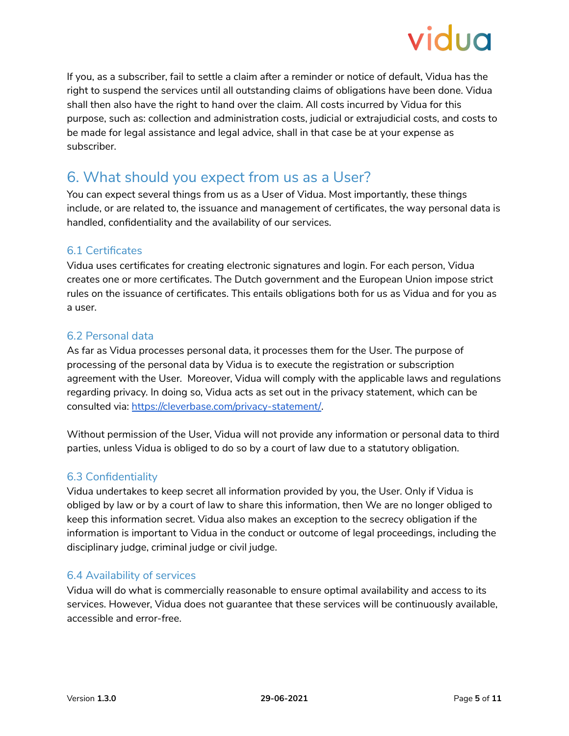

If you, as a subscriber, fail to settle a claim after a reminder or notice of default, Vidua has the right to suspend the services until all outstanding claims of obligations have been done. Vidua shall then also have the right to hand over the claim. All costs incurred by Vidua for this purpose, such as: collection and administration costs, judicial or extrajudicial costs, and costs to be made for legal assistance and legal advice, shall in that case be at your expense as subscriber.

## <span id="page-4-0"></span>6. What should you expect from us as a User?

You can expect several things from us as a User of Vidua. Most importantly, these things include, or are related to, the issuance and management of certificates, the way personal data is handled, confidentiality and the availability of our services.

## <span id="page-4-1"></span>6.1 Certificates

Vidua uses certificates for creating electronic signatures and login. For each person, Vidua creates one or more certificates. The Dutch government and the European Union impose strict rules on the issuance of certificates. This entails obligations both for us as Vidua and for you as a user.

#### <span id="page-4-2"></span>6.2 Personal data

As far as Vidua processes personal data, it processes them for the User. The purpose of processing of the personal data by Vidua is to execute the registration or subscription agreement with the User. Moreover, Vidua will comply with the applicable laws and regulations regarding privacy. In doing so, Vidua acts as set out in the privacy statement, which can be consulted via: [https://cleverbase.com/privacy-statement/.](https://cleverbase.com/privacy-statement/)

Without permission of the User, Vidua will not provide any information or personal data to third parties, unless Vidua is obliged to do so by a court of law due to a statutory obligation.

## <span id="page-4-3"></span>6.3 Confidentiality

Vidua undertakes to keep secret all information provided by you, the User. Only if Vidua is obliged by law or by a court of law to share this information, then We are no longer obliged to keep this information secret. Vidua also makes an exception to the secrecy obligation if the information is important to Vidua in the conduct or outcome of legal proceedings, including the disciplinary judge, criminal judge or civil judge.

## <span id="page-4-4"></span>6.4 Availability of services

Vidua will do what is commercially reasonable to ensure optimal availability and access to its services. However, Vidua does not guarantee that these services will be continuously available, accessible and error-free.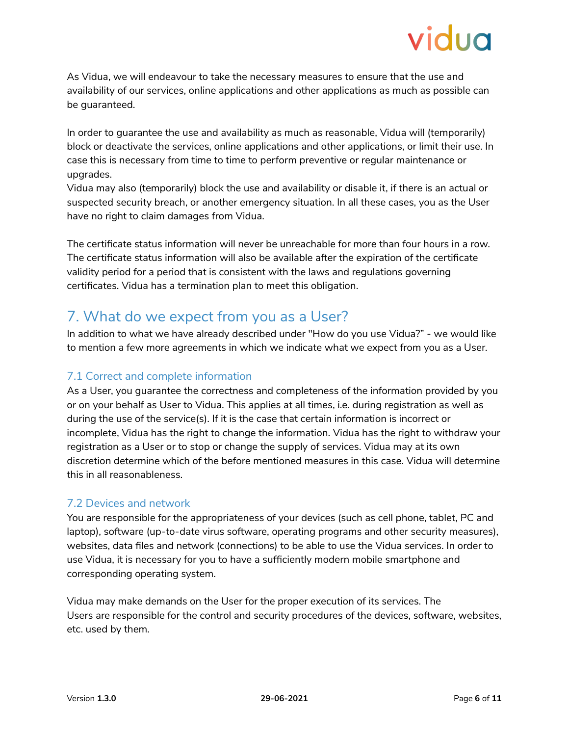As Vidua, we will endeavour to take the necessary measures to ensure that the use and availability of our services, online applications and other applications as much as possible can be guaranteed.

In order to guarantee the use and availability as much as reasonable, Vidua will (temporarily) block or deactivate the services, online applications and other applications, or limit their use. In case this is necessary from time to time to perform preventive or regular maintenance or upgrades.

Vidua may also (temporarily) block the use and availability or disable it, if there is an actual or suspected security breach, or another emergency situation. In all these cases, you as the User have no right to claim damages from Vidua.

The certificate status information will never be unreachable for more than four hours in a row. The certificate status information will also be available after the expiration of the certificate validity period for a period that is consistent with the laws and regulations governing certificates. Vidua has a termination plan to meet this obligation.

## <span id="page-5-0"></span>7. What do we expect from you as a User?

In addition to what we have already described under "How do you use Vidua?" - we would like to mention a few more agreements in which we indicate what we expect from you as a User.

## <span id="page-5-1"></span>7.1 Correct and complete information

As a User, you guarantee the correctness and completeness of the information provided by you or on your behalf as User to Vidua. This applies at all times, i.e. during registration as well as during the use of the service(s). If it is the case that certain information is incorrect or incomplete, Vidua has the right to change the information. Vidua has the right to withdraw your registration as a User or to stop or change the supply of services. Vidua may at its own discretion determine which of the before mentioned measures in this case. Vidua will determine this in all reasonableness.

## <span id="page-5-2"></span>7.2 Devices and network

You are responsible for the appropriateness of your devices (such as cell phone, tablet, PC and laptop), software (up-to-date virus software, operating programs and other security measures), websites, data files and network (connections) to be able to use the Vidua services. In order to use Vidua, it is necessary for you to have a sufficiently modern mobile smartphone and corresponding operating system.

Vidua may make demands on the User for the proper execution of its services. The Users are responsible for the control and security procedures of the devices, software, websites, etc. used by them.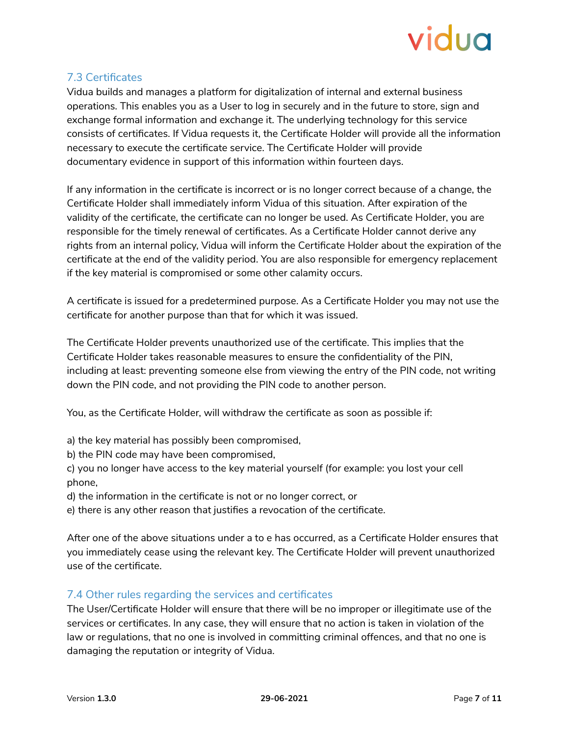

## <span id="page-6-0"></span>7.3 Certificates

Vidua builds and manages a platform for digitalization of internal and external business operations. This enables you as a User to log in securely and in the future to store, sign and exchange formal information and exchange it. The underlying technology for this service consists of certificates. If Vidua requests it, the Certificate Holder will provide all the information necessary to execute the certificate service. The Certificate Holder will provide documentary evidence in support of this information within fourteen days.

If any information in the certificate is incorrect or is no longer correct because of a change, the Certificate Holder shall immediately inform Vidua of this situation. After expiration of the validity of the certificate, the certificate can no longer be used. As Certificate Holder, you are responsible for the timely renewal of certificates. As a Certificate Holder cannot derive any rights from an internal policy, Vidua will inform the Certificate Holder about the expiration of the certificate at the end of the validity period. You are also responsible for emergency replacement if the key material is compromised or some other calamity occurs.

A certificate is issued for a predetermined purpose. As a Certificate Holder you may not use the certificate for another purpose than that for which it was issued.

The Certificate Holder prevents unauthorized use of the certificate. This implies that the Certificate Holder takes reasonable measures to ensure the confidentiality of the PIN, including at least: preventing someone else from viewing the entry of the PIN code, not writing down the PIN code, and not providing the PIN code to another person.

You, as the Certificate Holder, will withdraw the certificate as soon as possible if:

- a) the key material has possibly been compromised,
- b) the PIN code may have been compromised,

c) you no longer have access to the key material yourself (for example: you lost your cell phone,

- d) the information in the certificate is not or no longer correct, or
- e) there is any other reason that justifies a revocation of the certificate.

After one of the above situations under a to e has occurred, as a Certificate Holder ensures that you immediately cease using the relevant key. The Certificate Holder will prevent unauthorized use of the certificate.

#### <span id="page-6-1"></span>7.4 Other rules regarding the services and certificates

The User/Certificate Holder will ensure that there will be no improper or illegitimate use of the services or certificates. In any case, they will ensure that no action is taken in violation of the law or regulations, that no one is involved in committing criminal offences, and that no one is damaging the reputation or integrity of Vidua.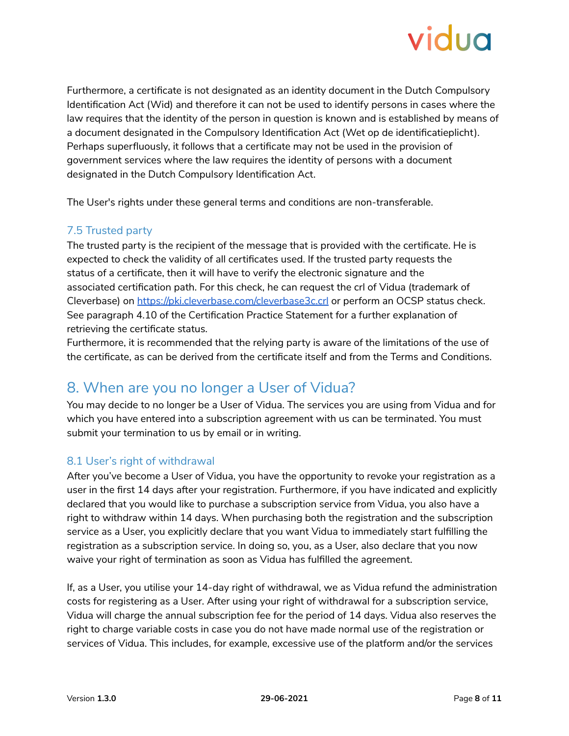

Furthermore, a certificate is not designated as an identity document in the Dutch Compulsory Identification Act (Wid) and therefore it can not be used to identify persons in cases where the law requires that the identity of the person in question is known and is established by means of a document designated in the Compulsory Identification Act (Wet op de identificatieplicht). Perhaps superfluously, it follows that a certificate may not be used in the provision of government services where the law requires the identity of persons with a document designated in the Dutch Compulsory Identification Act.

The User's rights under these general terms and conditions are non-transferable.

#### <span id="page-7-0"></span>7.5 Trusted party

The trusted party is the recipient of the message that is provided with the certificate. He is expected to check the validity of all certificates used. If the trusted party requests the status of a certificate, then it will have to verify the electronic signature and the associated certification path. For this check, he can request the crl of Vidua (trademark of Cleverbase) on <https://pki.cleverbase.com/cleverbase3c.crl> or perform an OCSP status check. See paragraph 4.10 of the Certification Practice Statement for a further explanation of retrieving the certificate status.

Furthermore, it is recommended that the relying party is aware of the limitations of the use of the certificate, as can be derived from the certificate itself and from the Terms and Conditions.

## <span id="page-7-1"></span>8. When are you no longer a User of Vidua?

You may decide to no longer be a User of Vidua. The services you are using from Vidua and for which you have entered into a subscription agreement with us can be terminated. You must submit your termination to us by email or in writing.

#### <span id="page-7-2"></span>8.1 User's right of withdrawal

After you've become a User of Vidua, you have the opportunity to revoke your registration as a user in the first 14 days after your registration. Furthermore, if you have indicated and explicitly declared that you would like to purchase a subscription service from Vidua, you also have a right to withdraw within 14 days. When purchasing both the registration and the subscription service as a User, you explicitly declare that you want Vidua to immediately start fulfilling the registration as a subscription service. In doing so, you, as a User, also declare that you now waive your right of termination as soon as Vidua has fulfilled the agreement.

If, as a User, you utilise your 14-day right of withdrawal, we as Vidua refund the administration costs for registering as a User. After using your right of withdrawal for a subscription service, Vidua will charge the annual subscription fee for the period of 14 days. Vidua also reserves the right to charge variable costs in case you do not have made normal use of the registration or services of Vidua. This includes, for example, excessive use of the platform and/or the services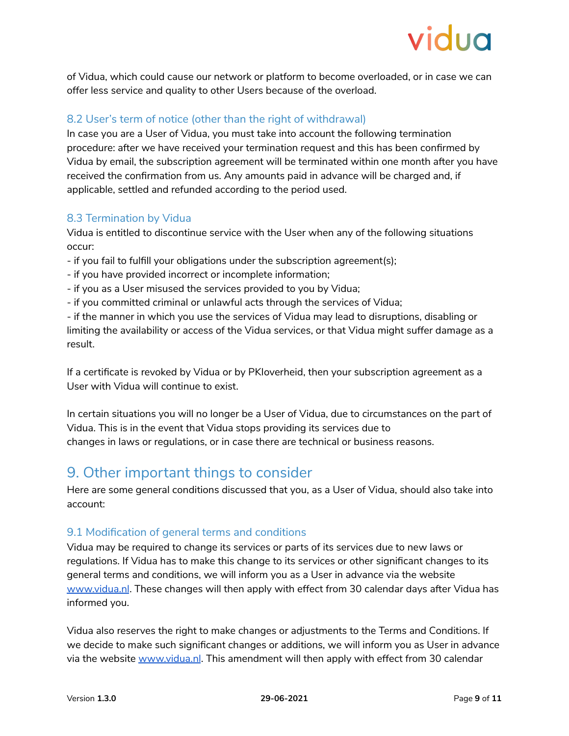of Vidua, which could cause our network or platform to become overloaded, or in case we can offer less service and quality to other Users because of the overload.

## <span id="page-8-0"></span>8.2 User's term of notice (other than the right of withdrawal)

In case you are a User of Vidua, you must take into account the following termination procedure: after we have received your termination request and this has been confirmed by Vidua by email, the subscription agreement will be terminated within one month after you have received the confirmation from us. Any amounts paid in advance will be charged and, if applicable, settled and refunded according to the period used.

## <span id="page-8-1"></span>8.3 Termination by Vidua

Vidua is entitled to discontinue service with the User when any of the following situations occur:

- if you fail to fulfill your obligations under the subscription agreement(s);
- if you have provided incorrect or incomplete information;
- if you as a User misused the services provided to you by Vidua;
- if you committed criminal or unlawful acts through the services of Vidua;

- if the manner in which you use the services of Vidua may lead to disruptions, disabling or limiting the availability or access of the Vidua services, or that Vidua might suffer damage as a result.

If a certificate is revoked by Vidua or by PKIoverheid, then your subscription agreement as a User with Vidua will continue to exist.

In certain situations you will no longer be a User of Vidua, due to circumstances on the part of Vidua. This is in the event that Vidua stops providing its services due to changes in laws or regulations, or in case there are technical or business reasons.

## <span id="page-8-2"></span>9. Other important things to consider

Here are some general conditions discussed that you, as a User of Vidua, should also take into account:

## <span id="page-8-3"></span>9.1 Modification of general terms and conditions

Vidua may be required to change its services or parts of its services due to new laws or regulations. If Vidua has to make this change to its services or other significant changes to its general terms and conditions, we will inform you as a User in advance via the website [www.vidua.nl](http://www.vidua.nl). These changes will then apply with effect from 30 calendar days after Vidua has informed you.

Vidua also reserves the right to make changes or adjustments to the Terms and Conditions. If we decide to make such significant changes or additions, we will inform you as User in advance via the website [www.vidua.nl](http://www.vidua.nl). This amendment will then apply with effect from 30 calendar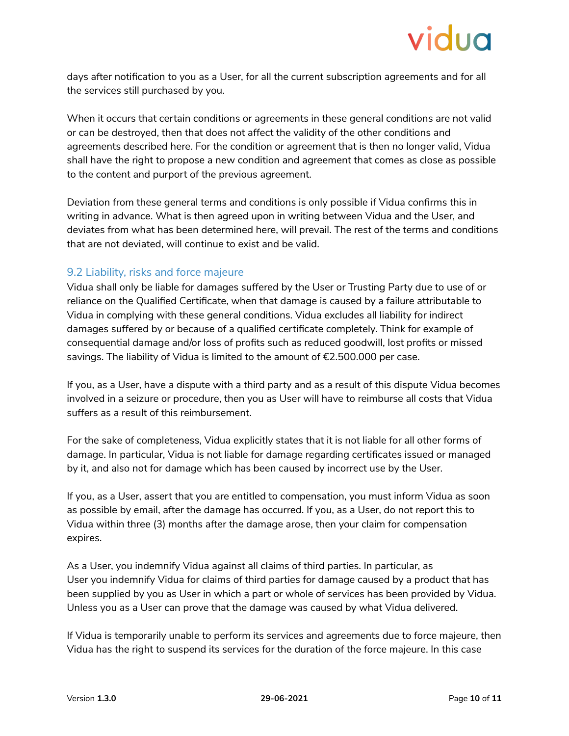days after notification to you as a User, for all the current subscription agreements and for all the services still purchased by you.

When it occurs that certain conditions or agreements in these general conditions are not valid or can be destroyed, then that does not affect the validity of the other conditions and agreements described here. For the condition or agreement that is then no longer valid, Vidua shall have the right to propose a new condition and agreement that comes as close as possible to the content and purport of the previous agreement.

Deviation from these general terms and conditions is only possible if Vidua confirms this in writing in advance. What is then agreed upon in writing between Vidua and the User, and deviates from what has been determined here, will prevail. The rest of the terms and conditions that are not deviated, will continue to exist and be valid.

#### <span id="page-9-0"></span>9.2 Liability, risks and force majeure

Vidua shall only be liable for damages suffered by the User or Trusting Party due to use of or reliance on the Qualified Certificate, when that damage is caused by a failure attributable to Vidua in complying with these general conditions. Vidua excludes all liability for indirect damages suffered by or because of a qualified certificate completely. Think for example of consequential damage and/or loss of profits such as reduced goodwill, lost profits or missed savings. The liability of Vidua is limited to the amount of €2.500.000 per case.

If you, as a User, have a dispute with a third party and as a result of this dispute Vidua becomes involved in a seizure or procedure, then you as User will have to reimburse all costs that Vidua suffers as a result of this reimbursement.

For the sake of completeness, Vidua explicitly states that it is not liable for all other forms of damage. In particular, Vidua is not liable for damage regarding certificates issued or managed by it, and also not for damage which has been caused by incorrect use by the User.

If you, as a User, assert that you are entitled to compensation, you must inform Vidua as soon as possible by email, after the damage has occurred. If you, as a User, do not report this to Vidua within three (3) months after the damage arose, then your claim for compensation expires.

As a User, you indemnify Vidua against all claims of third parties. In particular, as User you indemnify Vidua for claims of third parties for damage caused by a product that has been supplied by you as User in which a part or whole of services has been provided by Vidua. Unless you as a User can prove that the damage was caused by what Vidua delivered.

If Vidua is temporarily unable to perform its services and agreements due to force majeure, then Vidua has the right to suspend its services for the duration of the force majeure. In this case